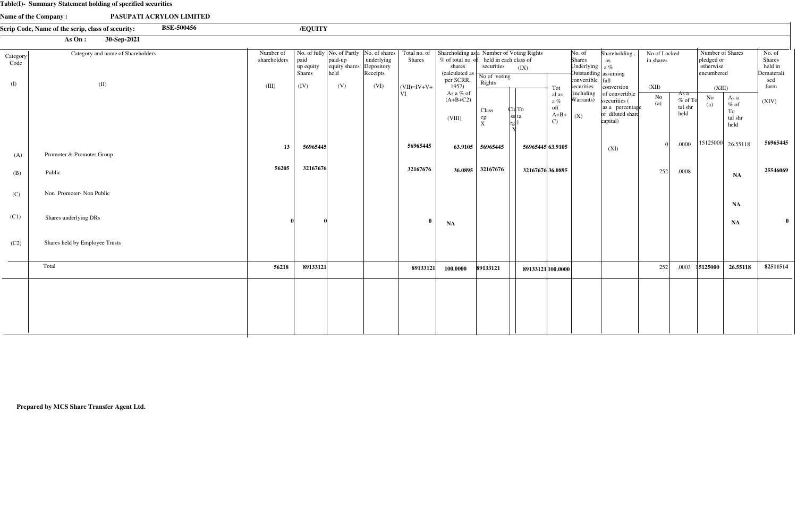#### **Table(I)- Summary Statement holding of specified securities**

|                  | $\mu$ abie(1) Summary Statement holding or specified securities        |                           |                                    |                                  |                                      |                 |                                                                                                                                  |                                                                                                                         |                   |                                                  |                                                                                                          |                                                                                    |                           |                                        |                                                           |                                                                                |                                                         |
|------------------|------------------------------------------------------------------------|---------------------------|------------------------------------|----------------------------------|--------------------------------------|-----------------|----------------------------------------------------------------------------------------------------------------------------------|-------------------------------------------------------------------------------------------------------------------------|-------------------|--------------------------------------------------|----------------------------------------------------------------------------------------------------------|------------------------------------------------------------------------------------|---------------------------|----------------------------------------|-----------------------------------------------------------|--------------------------------------------------------------------------------|---------------------------------------------------------|
|                  | Name of the Company:<br>PASUPATI ACRYLON LIMITED                       |                           |                                    |                                  |                                      |                 |                                                                                                                                  |                                                                                                                         |                   |                                                  |                                                                                                          |                                                                                    |                           |                                        |                                                           |                                                                                |                                                         |
|                  | <b>BSE-500456</b><br>Scrip Code, Name of the scrip, class of security: |                           | /EQUITY                            |                                  |                                      |                 |                                                                                                                                  |                                                                                                                         |                   |                                                  |                                                                                                          |                                                                                    |                           |                                        |                                                           |                                                                                |                                                         |
|                  | 30-Sep-2021<br>As On:                                                  |                           |                                    |                                  |                                      |                 |                                                                                                                                  |                                                                                                                         |                   |                                                  |                                                                                                          |                                                                                    |                           |                                        |                                                           |                                                                                |                                                         |
| Category<br>Code | Category and name of Shareholders                                      | Number of<br>shareholders | paid<br>up equity<br><b>Shares</b> | paid-up<br>equity shares<br>held | underlying<br>Depository<br>Receipts | Shares          | No. of fully   No. of Partly   No. of shares   Total no. of   Shareholding as   a Number of Voting Rights<br>shares<br>per SCRR, | % of total no. of held in each class of<br>securities<br>(calculated as $\boxed{\phantom{\text{N}}\text{No of voting}}$ | (IX)              |                                                  | No. of<br>Shares<br>Underlying $\int a \%$<br>Outstanding assuming<br>$\text{convertible}$ $\text{full}$ | Shareholding<br>as                                                                 | No of Locked<br>in shares |                                        | Number of Shares<br>pledged or<br>otherwise<br>encumbered |                                                                                | No. of<br><b>Shares</b><br>held in<br>Dematerali<br>sed |
| (I)              | (II)                                                                   | (III)                     | (IV)                               | (V)                              | (VI)                                 | $ $ (VII)=IV+V+ | 1957)                                                                                                                            | Rights                                                                                                                  |                   | Tot                                              | securities                                                                                               | conversion                                                                         | (XII)                     |                                        | (XIII)                                                    |                                                                                | form                                                    |
|                  |                                                                        |                           |                                    |                                  |                                      | VI              | As a $\%$ of<br>$(A+B+C2)$<br>(VIII)                                                                                             | Class<br>eg:<br>$\frac{1}{X}$                                                                                           | Cla To<br>ss  ta  | al as<br>a $\%$<br>of(<br>$A+B+$<br>$\mathbf{C}$ | (including<br>Warrants)<br>$\mid$ (X)                                                                    | of convertible<br>ssecurities (<br>as a percentage<br>of diluted share<br>capital) | $\rm No$<br>(a)           | As $a$<br>$%$ of To<br>tal shr<br>held | N <sub>o</sub><br>(a)                                     | As a<br>$%$ of<br>To<br>tal shr<br>held                                        | (XIV)                                                   |
| (A)              | Promoter & Promoter Group                                              | 13                        | 56965445                           |                                  |                                      | 56965445        |                                                                                                                                  | 63.9105 56965445                                                                                                        | 56965445 63.9105  |                                                  |                                                                                                          | (XI)                                                                               | $\Omega$                  | .0000                                  |                                                           | $\begin{array}{ c c c c c c } \hline 15125000 & 26.55118 \\\hline \end{array}$ | 56965445                                                |
| (B)              | Public                                                                 | 56205                     | 32167676                           |                                  |                                      | 32167676        |                                                                                                                                  | 36.0895 32167676                                                                                                        | 32167676 36.0895  |                                                  |                                                                                                          |                                                                                    | 252                       | .0008                                  |                                                           | NA                                                                             | 25546069                                                |
| (C)              | Non Promoter- Non Public                                               |                           |                                    |                                  |                                      |                 |                                                                                                                                  |                                                                                                                         |                   |                                                  |                                                                                                          |                                                                                    |                           |                                        |                                                           | NA                                                                             |                                                         |
| (C1)             | Shares underlying DRs                                                  |                           |                                    |                                  |                                      | $\mathbf{0}$    | <b>NA</b>                                                                                                                        |                                                                                                                         |                   |                                                  |                                                                                                          |                                                                                    |                           |                                        |                                                           | NA                                                                             | $\bf{0}$                                                |
| (C2)             | Shares held by Employee Trusts                                         |                           |                                    |                                  |                                      |                 |                                                                                                                                  |                                                                                                                         |                   |                                                  |                                                                                                          |                                                                                    |                           |                                        |                                                           |                                                                                |                                                         |
|                  | Total                                                                  | 56218                     | 89133121                           |                                  |                                      | 89133121        | 100.0000                                                                                                                         | 89133121                                                                                                                | 89133121 100.0000 |                                                  |                                                                                                          |                                                                                    | 252                       | .0003                                  | 15125000                                                  | 26.55118                                                                       | 82511514                                                |
|                  |                                                                        |                           |                                    |                                  |                                      |                 |                                                                                                                                  |                                                                                                                         |                   |                                                  |                                                                                                          |                                                                                    |                           |                                        |                                                           |                                                                                |                                                         |

**Prepared by MCS Share Transfer Agent Ltd.**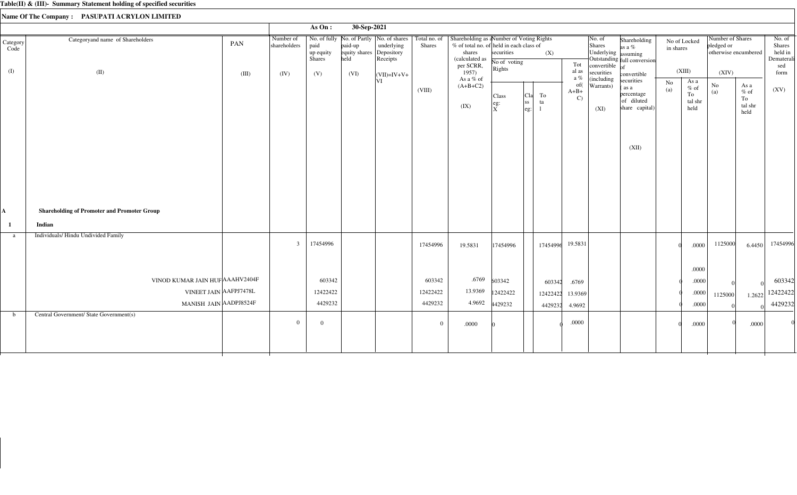|                   |                                                              |       |                           | As $On:$                                                                           | 30-Sep-2021                                 |                        |                               |                                                                                                                 |                                 |                                                       |          |                               |                                         |                                                                           |           |                                         |                                |                                          |                                                  |
|-------------------|--------------------------------------------------------------|-------|---------------------------|------------------------------------------------------------------------------------|---------------------------------------------|------------------------|-------------------------------|-----------------------------------------------------------------------------------------------------------------|---------------------------------|-------------------------------------------------------|----------|-------------------------------|-----------------------------------------|---------------------------------------------------------------------------|-----------|-----------------------------------------|--------------------------------|------------------------------------------|--------------------------------------------------|
| Category<br>Code  | Categoryand name of Shareholders                             | PAN   | Number of<br>shareholders | No. of fully   No. of Partly   No. of shares<br>paid<br>up equity<br><b>Shares</b> | paid-up<br>equity shares Depository<br>held | underlying<br>Receipts | Total no. of<br><b>Shares</b> | Shareholding as aNumber of Voting Rights<br>% of total no. of held in each class of<br>shares<br>(calculated as | securities<br>No of voting      |                                                       | (X)      | Tot                           | No. of<br>Shares<br>Underlying assuming | Shareholding<br>as a %<br>Outstanding full conversion                     | in shares | No of Locked                            | Number of Shares<br>pledged or | otherwise encumbered                     | No. of<br>Shares<br>held in<br>Dematerali<br>sed |
| (I)               | (II)                                                         | (III) | (IV)                      | (V)                                                                                | (VI)                                        | $\vert$ (VII)=IV+V+    |                               | per SCRR,<br>1957)                                                                                              | Rights                          |                                                       |          | al as<br>a $\%$               | convertible $of$<br>securities          | convertible                                                               |           | (XIII)                                  | (XIV)                          |                                          | form                                             |
|                   |                                                              |       |                           |                                                                                    |                                             | VI                     | (VIII)                        | As a % of<br>$(A+B+C2)$<br>(IX)                                                                                 | Class<br>$e$ g:<br>$\mathbf{x}$ | <sub>C1a</sub>  <br> ss <br>$\left \text{eg:}\right $ | To<br>ta | of(<br>$A+B+$<br>$\mathbf{C}$ | (including<br>Warrants)<br>(XI)         | securities<br>$\alpha$ as a<br>percentage<br>of diluted<br>share capital) | No<br>(a) | As a<br>$%$ of<br>To<br>tal shr<br>held | $\rm No$<br>(a)                | As a<br>$\%$ of<br>To<br>tal shr<br>held | (XV)                                             |
|                   |                                                              |       |                           |                                                                                    |                                             |                        |                               |                                                                                                                 |                                 |                                                       |          |                               |                                         | (XII)                                                                     |           |                                         |                                |                                          |                                                  |
| A<br>$\mathbf{1}$ | <b>Shareholding of Promoter and Promoter Group</b><br>Indian |       |                           |                                                                                    |                                             |                        |                               |                                                                                                                 |                                 |                                                       |          |                               |                                         |                                                                           |           |                                         |                                |                                          |                                                  |
| a                 | Individuals/Hindu Undivided Family                           |       | $\overline{3}$            | 17454996                                                                           |                                             |                        | 17454996                      | 19.5831                                                                                                         | 17454996                        |                                                       | 17454996 | 19.5831                       |                                         |                                                                           |           | .0000<br>.0000                          | 1125000                        | 6.4450                                   | 17454996                                         |
|                   | VINOD KUMAR JAIN HUF AAAHV2404F                              |       |                           | 603342                                                                             |                                             |                        | 603342                        | .6769                                                                                                           | 603342                          |                                                       | 603342   | .6769                         |                                         |                                                                           |           | .0000                                   |                                |                                          | 603342                                           |
|                   | VINEET JAIN AAFPJ7478L                                       |       |                           | 12422422                                                                           |                                             |                        | 12422422                      | 13.9369                                                                                                         | 12422422                        |                                                       | 12422422 | 13.9369                       |                                         |                                                                           |           | .0000                                   | 1125000                        | 1.2622                                   | 12422422                                         |
|                   | MANISH JAIN AADPJ8524F                                       |       |                           | 4429232                                                                            |                                             |                        | 4429232                       | 4.9692                                                                                                          | 4429232                         |                                                       | 4429232  | 4.9692                        |                                         |                                                                           |           | .0000                                   |                                |                                          | 4429232                                          |
| $\mathbf b$       | Central Government/ State Government(s)                      |       | $\overline{0}$            | $\overline{0}$                                                                     |                                             |                        | $\overline{0}$                | .0000                                                                                                           |                                 |                                                       |          | $.0000$                       |                                         |                                                                           |           | .0000                                   |                                | .0000                                    |                                                  |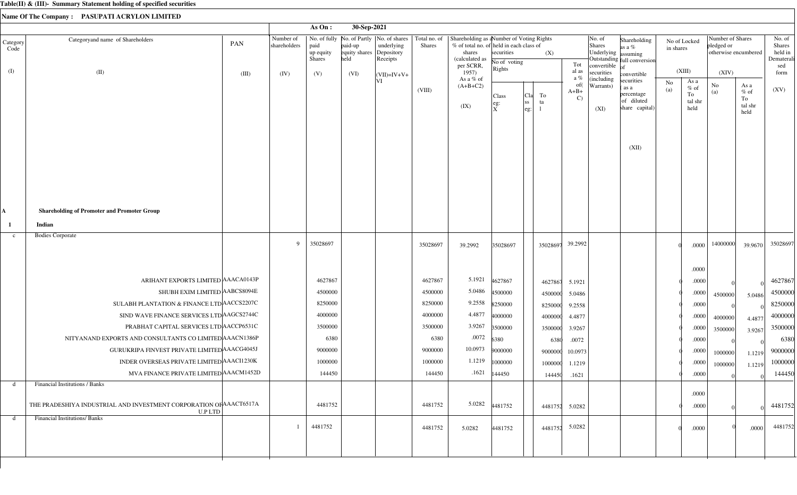|                  |                                                                                      |       |                           | As On:                             | 30-Sep-2021                                 |                                                                        |                               |                                                                                                                               |                            |                                          |                               |                                                                 |                                                                  |                           |                                         |                                                        |                                         |                                                  |
|------------------|--------------------------------------------------------------------------------------|-------|---------------------------|------------------------------------|---------------------------------------------|------------------------------------------------------------------------|-------------------------------|-------------------------------------------------------------------------------------------------------------------------------|----------------------------|------------------------------------------|-------------------------------|-----------------------------------------------------------------|------------------------------------------------------------------|---------------------------|-----------------------------------------|--------------------------------------------------------|-----------------------------------------|--------------------------------------------------|
| Category<br>Code | Categoryand name of Shareholders                                                     | PAN   | Number of<br>shareholders | paid<br>up equity<br><b>Shares</b> | paid-up<br>equity shares Depository<br>held | No. of fully   No. of Partly   No. of shares<br>underlying<br>Receipts | Total no. of<br><b>Shares</b> | Shareholding as a Number of Voting Rights<br>% of total no. of held in each class of<br>shares<br>(calculated as<br>per SCRR, | securities<br>No of voting | (X)                                      | Tot                           | No. of<br>Shares<br>Underlying assuming<br>convertible $ _{of}$ | Shareholding<br>as a $%$<br>Outstanding full conversion          | No of Locked<br>in shares |                                         | Number of Shares<br>pledged or<br>otherwise encumbered |                                         | No. of<br>Shares<br>held in<br>Dematerali<br>sed |
| (I)              | (II)                                                                                 | (III) | (IV)                      | (V)                                | (VI)                                        | $\vert$ (VII)=IV+V+                                                    |                               | 1957)                                                                                                                         | Rights                     |                                          | al as<br>a %                  | securities<br>(including                                        | convertible                                                      |                           | (XIII)                                  | (XIV)                                                  |                                         | form                                             |
|                  |                                                                                      |       |                           |                                    |                                             | VI                                                                     | (VIII)                        | As a % of<br>$(A+B+C2)$<br>(IX)                                                                                               | Class<br>eg:<br>ΙX         | To<br> Cla<br><sub>ss</sub><br>ta<br>eg: | of(<br>$A+B+$<br>$\mathbf{C}$ | Warrants)<br>(XI)                                               | securities<br>as a<br>percentage<br>of diluted<br>share capital) | No<br>(a)                 | As a<br>$%$ of<br>To<br>tal shr<br>held | No<br>(a)                                              | As a<br>$%$ of<br>To<br>tal shr<br>held | (XV)                                             |
|                  |                                                                                      |       |                           |                                    |                                             |                                                                        |                               |                                                                                                                               |                            |                                          |                               |                                                                 | (XII)                                                            |                           |                                         |                                                        |                                         |                                                  |
| A,               | <b>Shareholding of Promoter and Promoter Group</b>                                   |       |                           |                                    |                                             |                                                                        |                               |                                                                                                                               |                            |                                          |                               |                                                                 |                                                                  |                           |                                         |                                                        |                                         |                                                  |
| $\mathbf{1}$     | Indian                                                                               |       |                           |                                    |                                             |                                                                        |                               |                                                                                                                               |                            |                                          |                               |                                                                 |                                                                  |                           |                                         |                                                        |                                         |                                                  |
| $\mathbf{c}$     | <b>Bodies Corporate</b>                                                              |       | 9                         | 35028697                           |                                             |                                                                        | 35028697                      | 39.2992                                                                                                                       | 35028697                   | 35028697                                 | 39.2992                       |                                                                 |                                                                  |                           | .0000                                   | 14000000                                               | 39.9670                                 | 35028697                                         |
|                  |                                                                                      |       |                           |                                    |                                             |                                                                        |                               |                                                                                                                               |                            |                                          |                               |                                                                 |                                                                  |                           | .0000                                   |                                                        |                                         |                                                  |
|                  | ARIHANT EXPORTS LIMITED AAACA0143P                                                   |       |                           | 4627867                            |                                             |                                                                        | 4627867                       | 5.1921                                                                                                                        | 4627867                    | 4627867                                  | 5.1921                        |                                                                 |                                                                  |                           | .0000                                   |                                                        |                                         | 4627867                                          |
|                  | SHUBH EXIM LIMITED AABCS8094E                                                        |       |                           | 4500000                            |                                             |                                                                        | 4500000                       | 5.0486                                                                                                                        | 4500000                    | 4500000                                  | 5.0486                        |                                                                 |                                                                  |                           | .0000                                   | 4500000                                                | 5.0486                                  | 4500000                                          |
|                  | SULABH PLANTATION & FINANCE LTD AACCS2207C                                           |       |                           | 8250000                            |                                             |                                                                        | 8250000                       | 9.2558                                                                                                                        | 8250000                    | 8250000                                  | 9.2558                        |                                                                 |                                                                  |                           | .0000                                   |                                                        |                                         | 8250000                                          |
|                  | SIND WAVE FINANCE SERVICES LTD AGCS2744C                                             |       |                           | 4000000                            |                                             |                                                                        | 4000000                       | 4.4877                                                                                                                        | 4000000                    | 4000000                                  | 4.4877                        |                                                                 |                                                                  |                           | .0000                                   | 4000000                                                | 4.4877                                  | 4000000                                          |
|                  | PRABHAT CAPITAL SERVICES LTD ACCP6531C                                               |       |                           | 3500000                            |                                             |                                                                        | 3500000                       | 3.9267                                                                                                                        | 3500000                    | 3500000                                  | 3.9267                        |                                                                 |                                                                  |                           | .0000                                   | 3500000                                                | 3.9267                                  | 3500000                                          |
|                  | NITYANAND EXPORTS AND CONSULTANTS CO LIMITED AAACN1386P                              |       |                           | 6380                               |                                             |                                                                        | 6380                          | .0072                                                                                                                         | 6380                       |                                          | 6380<br>.0072                 |                                                                 |                                                                  |                           | .0000                                   |                                                        |                                         | 6380                                             |
|                  | GURUKRIPA FINVEST PRIVATE LIMITED AAACG4045J                                         |       |                           | 9000000                            |                                             |                                                                        | 9000000                       | 10.0973                                                                                                                       | 9000000                    | 9000000                                  | 10.0973                       |                                                                 |                                                                  |                           | .0000                                   | 1000000                                                | 1.1219                                  | 9000000                                          |
|                  | INDER OVERSEAS PRIVATE LIMITED AAACI1230K                                            |       |                           | 1000000                            |                                             |                                                                        | 1000000                       |                                                                                                                               | $1.1219$ 1000000           | 1000000                                  | 1.1219                        |                                                                 |                                                                  |                           | .0000                                   | 1000000                                                | 1.1219                                  | 1000000                                          |
|                  | MVA FINANCE PRIVATE LIMITED AAACM1452D                                               |       |                           | 144450                             |                                             |                                                                        | 144450                        | .1621                                                                                                                         | 144450                     | 144450                                   | .1621                         |                                                                 |                                                                  |                           | .0000                                   |                                                        |                                         | 144450                                           |
| d                | <b>Financial Institutions / Banks</b>                                                |       |                           |                                    |                                             |                                                                        |                               |                                                                                                                               |                            |                                          |                               |                                                                 |                                                                  |                           |                                         |                                                        |                                         |                                                  |
|                  | THE PRADESHIYA INDUSTRIAL AND INVESTMENT CORPORATION OF AAACT6517A<br><b>U.P LTD</b> |       |                           | 4481752                            |                                             |                                                                        | 4481752                       |                                                                                                                               | 5.0282 4481752             |                                          | 4481752 5.0282                |                                                                 |                                                                  |                           | .0000<br>.0000                          |                                                        |                                         | 4481752                                          |
| d                | <b>Financial Institutions/Banks</b>                                                  |       |                           | 4481752                            |                                             |                                                                        | 4481752                       | 5.0282                                                                                                                        | 4481752                    | 4481752                                  | 5.0282                        |                                                                 |                                                                  |                           | .0000                                   |                                                        | .0000                                   | 4481752                                          |
|                  |                                                                                      |       |                           |                                    |                                             |                                                                        |                               |                                                                                                                               |                            |                                          |                               |                                                                 |                                                                  |                           |                                         |                                                        |                                         |                                                  |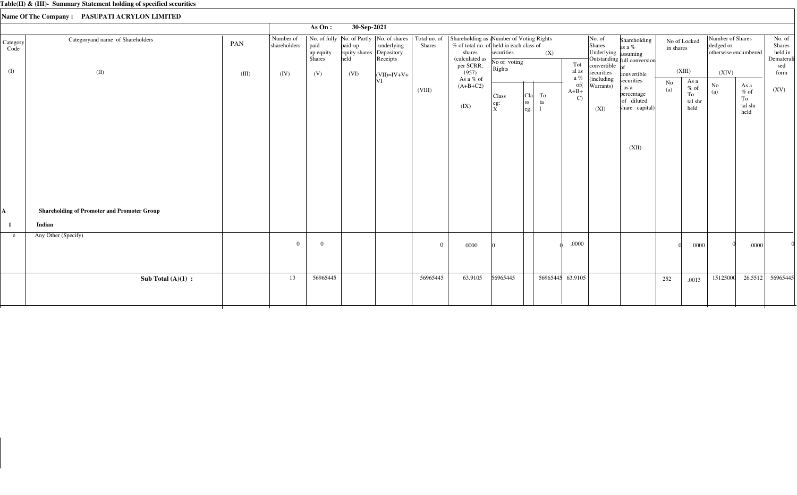|                  |                                                              |       |                           | As On:                      | 30-Sep-2021                                 |                        |                |                                                                                                                                                                                           |                                                                                          |                                               |                                                  |                                                                        |                                                                                           |           |                                                   |                                                        |                                          |                                                  |
|------------------|--------------------------------------------------------------|-------|---------------------------|-----------------------------|---------------------------------------------|------------------------|----------------|-------------------------------------------------------------------------------------------------------------------------------------------------------------------------------------------|------------------------------------------------------------------------------------------|-----------------------------------------------|--------------------------------------------------|------------------------------------------------------------------------|-------------------------------------------------------------------------------------------|-----------|---------------------------------------------------|--------------------------------------------------------|------------------------------------------|--------------------------------------------------|
| Category<br>Code | Categoryand name of Shareholders                             | PAN   | Number of<br>shareholders | paid<br>up equity<br>Shares | paid-up<br>equity shares Depository<br>held | underlying<br>Receipts | Shares         | No. of fully No. of Partly   No. of shares   Total no. of   Shareholding as a Number of Voting Rights<br>% of total no. of held in each class of<br>shares<br>(calculated as<br>per SCRR, | securities<br>No of voting                                                               | (X)                                           | Tot                                              | No. of<br>Shares<br>Underlying assuming<br>convertible $\overline{of}$ | Shareholding<br>as a %<br>Outstanding full conversion                                     | in shares | No of Locked                                      | Number of Shares<br>pledged or<br>otherwise encumbered |                                          | No. of<br>Shares<br>held in<br>Dematerali<br>sed |
| (I)              | (II)                                                         | (III) | (IV)                      | (V)                         | (VI)                                        | $ (VII)=IV+V+$<br>VI   | (VIII)         | 1957)<br>As a % of<br>$(A+B+C2)$<br>(IX)                                                                                                                                                  | Rights<br>Class<br>$\left  \begin{smallmatrix} \text{eg:} \ X \end{smallmatrix} \right $ | To<br>Cla<br> ss <br>ta<br>$ {\rm eg} \cdot $ | al as<br>a $\%$<br>of(<br>$A+B+$<br>$\mathbf{C}$ | securities<br>(including<br>Warrants)<br>(XI)                          | convertible<br>securities<br>(as a<br>percentage<br>of diluted<br>share capital)<br>(XII) | No<br>(a) | (XIII)<br>As a<br>$%$ of<br>To<br>tal shr<br>held | (XIV)<br>No<br>(a)                                     | As a<br>$\%$ of<br>To<br>tal shr<br>held | form<br>(XV)                                     |
| A<br>-1          | <b>Shareholding of Promoter and Promoter Group</b><br>Indian |       |                           |                             |                                             |                        |                |                                                                                                                                                                                           |                                                                                          |                                               |                                                  |                                                                        |                                                                                           |           |                                                   |                                                        |                                          |                                                  |
| e.               | Any Other (Specify)                                          |       | $\Omega$                  | $\overline{0}$              |                                             |                        | $\overline{0}$ | .0000                                                                                                                                                                                     |                                                                                          |                                               | .0000                                            |                                                                        |                                                                                           |           | .0000                                             |                                                        | .0000                                    |                                                  |
|                  | Sub Total $(A)(1)$ :                                         |       | 13                        | 56965445                    |                                             |                        | 56965445       | 63.9105                                                                                                                                                                                   | 56965445                                                                                 |                                               | 56965445 63.9105                                 |                                                                        |                                                                                           | 252       | .0013                                             | 15125000                                               | 26.5512                                  | 56965445                                         |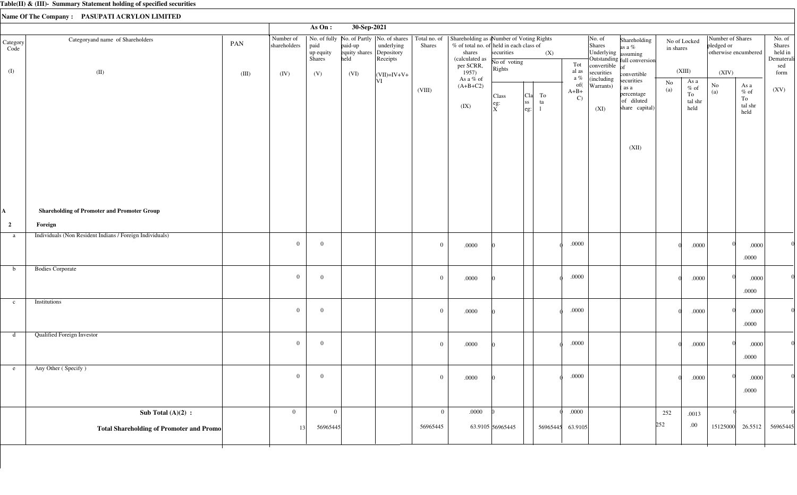|                                    |                                                                                                                           |       |                           | As On:                      | 30-Sep-2021                                 |                        |                |                                                                                                                                                                                             |                                                                       |                                                                      |                                                   |                                                             |                                                                                           |                           |                                                    |                                                        |                                                                       |                                                  |
|------------------------------------|---------------------------------------------------------------------------------------------------------------------------|-------|---------------------------|-----------------------------|---------------------------------------------|------------------------|----------------|---------------------------------------------------------------------------------------------------------------------------------------------------------------------------------------------|-----------------------------------------------------------------------|----------------------------------------------------------------------|---------------------------------------------------|-------------------------------------------------------------|-------------------------------------------------------------------------------------------|---------------------------|----------------------------------------------------|--------------------------------------------------------|-----------------------------------------------------------------------|--------------------------------------------------|
| Category<br>Code                   | Categoryand name of Shareholders                                                                                          | PAN   | Number of<br>shareholders | paid<br>up equity<br>Shares | paid-up<br>equity shares Depository<br>held | underlying<br>Receipts | Shares         | No. of fully   No. of Partly   No. of shares   Total no. of   Shareholding as a Number of Voting Rights<br>% of total no. of held in each class of<br>shares<br>(calculated as<br>per SCRR, | securities<br>No of voting<br>Rights                                  | (X)                                                                  | Tot                                               | No. of<br>Shares<br>Underlying assuming<br>convertible $of$ | Shareholding<br>as a %<br>Outstanding full conversion                                     | No of Locked<br>in shares |                                                    | Number of Shares<br>pledged or<br>otherwise encumbered |                                                                       | No. of<br>Shares<br>held in<br>Dematerali<br>sed |
| (I)                                | (II)                                                                                                                      | (III) | (IV)                      | (V)                         | (VI)                                        | $ (VII)=IV+V+$<br> VI  | (VIII)         | 1957)<br>As a % of<br>$(A+B+C2)$<br>(IX)                                                                                                                                                    | Class<br>$\left  \begin{array}{c} \text{eg:} \ X \end{array} \right $ | To<br>  <sub>C1a</sub>  <br> ss <br>ta<br>$\left  \text{eg} \right $ | al as<br>a $\%$<br>of(<br>$A+B+$<br>$\mathcal{C}$ | securities<br>(including<br>Warrants)<br>(XI)               | convertible<br>securities<br>(as a<br>percentage<br>of diluted<br>share capital)<br>(XII) | No<br>(a)                 | (XIII)<br>As a<br>$\%$ of<br>To<br>tal shr<br>held | (XIV)<br>$\rm No$<br>(a)                               | As a<br>$\%$ of<br>To<br>$\ensuremath{\text{tal}}\xspace$ shr<br>held | form<br>(XV)                                     |
| A,<br>$\overline{\mathbf{c}}$<br>a | <b>Shareholding of Promoter and Promoter Group</b><br>Foreign<br>Individuals (Non Resident Indians / Foreign Individuals) |       |                           |                             |                                             |                        |                |                                                                                                                                                                                             |                                                                       |                                                                      |                                                   |                                                             |                                                                                           |                           |                                                    |                                                        |                                                                       |                                                  |
|                                    |                                                                                                                           |       | $\overline{0}$            | $\overline{0}$              |                                             |                        | $\overline{0}$ | $.0000\,$                                                                                                                                                                                   |                                                                       |                                                                      | .0000                                             |                                                             |                                                                                           |                           | .0000                                              |                                                        | .0000<br>.0000                                                        |                                                  |
| b                                  | <b>Bodies Corporate</b>                                                                                                   |       | $\mathbf{0}$              | $\overline{0}$              |                                             |                        | $\mathbf{0}$   | $.0000\,$                                                                                                                                                                                   |                                                                       |                                                                      | $.0000$                                           |                                                             |                                                                                           |                           | .0000                                              |                                                        | .0000<br>.0000                                                        |                                                  |
| $\mathbf{c}$                       | Institutions                                                                                                              |       | $\overline{0}$            | $\overline{0}$              |                                             |                        | $\overline{0}$ | $.0000$                                                                                                                                                                                     |                                                                       |                                                                      | $.0000$                                           |                                                             |                                                                                           |                           | .0000                                              |                                                        | .0000<br>.0000                                                        |                                                  |
| d                                  | <b>Qualified Foreign Investor</b>                                                                                         |       | $\mathbf{0}$              | $\overline{0}$              |                                             |                        | $\overline{0}$ | .0000                                                                                                                                                                                       |                                                                       |                                                                      | .0000                                             |                                                             |                                                                                           |                           | .0000                                              |                                                        | .0000<br>.0000                                                        |                                                  |
| e                                  | Any Other (Specify)                                                                                                       |       | $\mathbf{0}$              | $\overline{0}$              |                                             |                        | $\overline{0}$ | $.0000\,$                                                                                                                                                                                   |                                                                       |                                                                      | $.0000$                                           |                                                             |                                                                                           |                           | .0000                                              |                                                        | .0000<br>.0000                                                        |                                                  |
|                                    | Sub Total $(A)(2)$ :                                                                                                      |       | $\overline{0}$            | $\mathbf{0}$                |                                             |                        | $\overline{0}$ | .0000                                                                                                                                                                                       |                                                                       |                                                                      | .0000                                             |                                                             |                                                                                           | 252                       | .0013                                              |                                                        |                                                                       |                                                  |
|                                    | <b>Total Shareholding of Promoter and Promo</b>                                                                           |       | 13                        | 56965445                    |                                             |                        | 56965445       |                                                                                                                                                                                             | 63.9105 56965445                                                      | 56965445                                                             | 63.9105                                           |                                                             | 252                                                                                       |                           | .00.                                               |                                                        | 15125000 26.5512                                                      | 56965445                                         |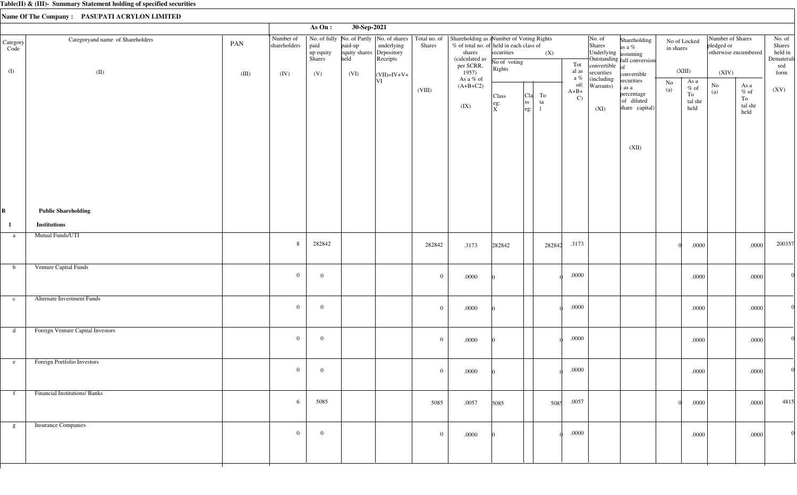|                  |                                     |       |                           | As On:                      | 30-Sep-2021                                 |                        |                |                                                                                                                                                                                             |                                                                       |                                                                |          |                                |                                                                                |                                                                   |                           |                                    |                                                        |                                                                       |                                                  |
|------------------|-------------------------------------|-------|---------------------------|-----------------------------|---------------------------------------------|------------------------|----------------|---------------------------------------------------------------------------------------------------------------------------------------------------------------------------------------------|-----------------------------------------------------------------------|----------------------------------------------------------------|----------|--------------------------------|--------------------------------------------------------------------------------|-------------------------------------------------------------------|---------------------------|------------------------------------|--------------------------------------------------------|-----------------------------------------------------------------------|--------------------------------------------------|
| Category<br>Code | Categoryand name of Shareholders    | PAN   | Number of<br>shareholders | paid<br>up equity<br>Shares | paid-up<br>equity shares Depository<br>held | underlying<br>Receipts | Shares         | No. of fully   No. of Partly   No. of shares   Total no. of   Shareholding as a Number of Voting Rights<br>% of total no. of held in each class of<br>shares<br>(calculated as<br>per SCRR, | securities<br>No of voting                                            |                                                                | (X)      | Tot                            | $\vert$ No. of<br>Shares<br>Underlying assuming<br>convertible $\overline{of}$ | Shareholding<br>as a %<br>Outstanding full conversion             | No of Locked<br>in shares |                                    | Number of Shares<br>pledged or<br>otherwise encumbered |                                                                       | No. of<br>Shares<br>held in<br>Dematerali<br>sed |
| (I)              | (II)                                | (III) | (IV)                      | (V)                         | (VI)                                        | $\vert$ (VII)=IV+V+    |                | 1957)<br>As a % of                                                                                                                                                                          | Rights                                                                |                                                                |          | al as<br>a $\%$                | securities<br>(including                                                       | convertible                                                       | (XIII)                    |                                    | (XIV)                                                  |                                                                       | form                                             |
|                  |                                     |       |                           |                             |                                             | VI                     | (VIII)         | $(A+B+C2)$<br>(IX)                                                                                                                                                                          | Class<br>$\left  \begin{array}{c} \text{eg:} \ X \end{array} \right $ | <sub>C1a</sub>  <br><sub>ss</sub><br>$\left \text{eg:}\right $ | To<br>ta | of(<br>$A+B+$<br>$\mathcal{C}$ | Warrants)<br>(XI)                                                              | securities<br>(as a<br>percentage<br>of diluted<br>share capital) | No<br>(a)<br>To           | As a<br>$\%$ of<br>tal shr<br>held | $\rm No$<br>(a)                                        | As a<br>$\%$ of<br>To<br>$\ensuremath{\text{tal}}\xspace$ shr<br>held | (XV)                                             |
|                  |                                     |       |                           |                             |                                             |                        |                |                                                                                                                                                                                             |                                                                       |                                                                |          |                                |                                                                                | (XII)                                                             |                           |                                    |                                                        |                                                                       |                                                  |
| B                | <b>Public Shareholding</b>          |       |                           |                             |                                             |                        |                |                                                                                                                                                                                             |                                                                       |                                                                |          |                                |                                                                                |                                                                   |                           |                                    |                                                        |                                                                       |                                                  |
| $\mathbf{1}$     | <b>Institutions</b>                 |       |                           |                             |                                             |                        |                |                                                                                                                                                                                             |                                                                       |                                                                |          |                                |                                                                                |                                                                   |                           |                                    |                                                        |                                                                       |                                                  |
| a                | <b>Mutual Funds/UTI</b>             |       | 8                         | 282842                      |                                             |                        | 282842         | .3173                                                                                                                                                                                       | 282842                                                                |                                                                | 282842   | .3173                          |                                                                                |                                                                   |                           | .0000                              |                                                        | .0000                                                                 | 200357                                           |
| $\mathbf b$      | Venture Capital Funds               |       | $\overline{0}$            | $\overline{0}$              |                                             |                        | $\overline{0}$ | .0000                                                                                                                                                                                       |                                                                       |                                                                |          | $.0000\,$                      |                                                                                |                                                                   |                           | .0000                              |                                                        | $.0000$                                                               |                                                  |
| $\mathbf{c}$     | Alternate Investment Funds          |       | $\overline{0}$            | $\overline{0}$              |                                             |                        | $\overline{0}$ | .0000                                                                                                                                                                                       |                                                                       |                                                                |          | $.0000$                        |                                                                                |                                                                   |                           | .0000                              |                                                        | .0000                                                                 |                                                  |
| d                | Foreign Venture Capital Investors   |       | $\mathbf{0}$              | $\overline{0}$              |                                             |                        | $\mathbf{0}$   | .0000                                                                                                                                                                                       |                                                                       |                                                                |          | $.0000$                        |                                                                                |                                                                   |                           | .0000                              |                                                        | .0000                                                                 |                                                  |
| e                | Foreign Portfolio Investors         |       | $\overline{0}$            | $\overline{0}$              |                                             |                        | $\mathbf{0}$   | .0000                                                                                                                                                                                       |                                                                       |                                                                |          | .0000                          |                                                                                |                                                                   |                           | .0000                              |                                                        | .0000                                                                 | $\Omega$                                         |
| f                | <b>Financial Institutions/Banks</b> |       | 6                         | 5085                        |                                             |                        | 5085           | .0057                                                                                                                                                                                       | 5085                                                                  |                                                                | 5085     | .0057                          |                                                                                |                                                                   |                           | .0000                              |                                                        | .0000                                                                 | 4815                                             |
| g                | <b>Insurance Companies</b>          |       | $\overline{0}$            | $\overline{0}$              |                                             |                        | $\mathbf{0}$   | .0000                                                                                                                                                                                       |                                                                       |                                                                |          | .0000                          |                                                                                |                                                                   |                           | .0000                              |                                                        | .0000                                                                 |                                                  |
|                  |                                     |       |                           |                             |                                             |                        |                |                                                                                                                                                                                             |                                                                       |                                                                |          |                                |                                                                                |                                                                   |                           |                                    |                                                        |                                                                       |                                                  |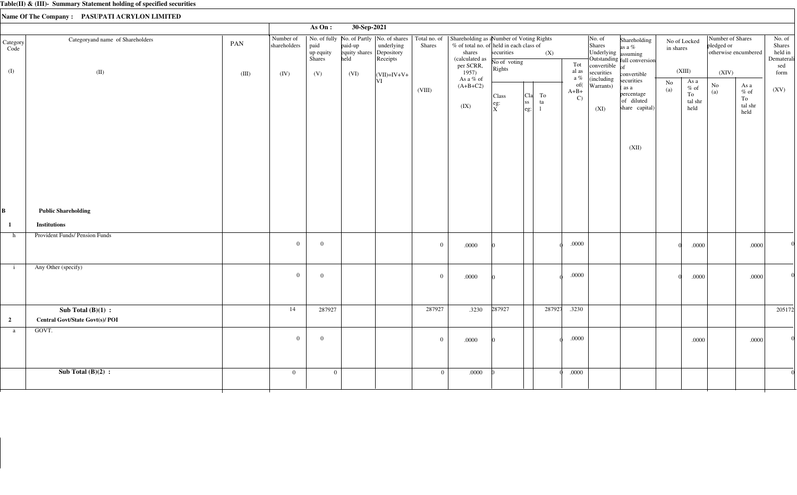|                         |                                        |       |                           | As On:                             | 30-Sep-2021                                 |                                                                        |                        |                                                                                                                               |                                      |                                                                              |                               |                                                                                    |                                                                            |                           |                                            |                                |                                                                       |                                                  |
|-------------------------|----------------------------------------|-------|---------------------------|------------------------------------|---------------------------------------------|------------------------------------------------------------------------|------------------------|-------------------------------------------------------------------------------------------------------------------------------|--------------------------------------|------------------------------------------------------------------------------|-------------------------------|------------------------------------------------------------------------------------|----------------------------------------------------------------------------|---------------------------|--------------------------------------------|--------------------------------|-----------------------------------------------------------------------|--------------------------------------------------|
| Category<br>Code        | Categoryand name of Shareholders       | PAN   | Number of<br>shareholders | paid<br>up equity<br><b>Shares</b> | paid-up<br>equity shares Depository<br>held | No. of fully   No. of Partly   No. of shares<br>underlying<br>Receipts | Total no. of<br>Shares | Shareholding as a Number of Voting Rights<br>% of total no. of held in each class of<br>shares<br>(calculated as<br>per SCRR, | securities<br>No of voting<br>Rights | (X)                                                                          | Tot                           | No. of<br>Shares<br>Underlying assuming<br>convertible $\int_{\text{of}}^{\infty}$ | Shareholding<br>as a %<br>Outstanding full conversion                      | No of Locked<br>in shares |                                            | Number of Shares<br>pledged or | otherwise encumbered                                                  | No. of<br>Shares<br>held in<br>Dematerali<br>sed |
| (I)                     | (II)                                   | (III) | (IV)                      | (V)                                | (VI)                                        | $\vert$ (VII)=IV+V+                                                    |                        | 1957)<br>As a % of                                                                                                            |                                      |                                                                              | al as<br>a $\%$               | securities<br>(including                                                           | convertible                                                                |                           | (XIII)                                     | (XIV)                          |                                                                       | form                                             |
|                         |                                        |       |                           |                                    |                                             | V                                                                      | (VIII)                 | $(A+B+C2)$<br>(IX)                                                                                                            | Class<br>eg:<br>$\frac{1}{X}$        | To<br>  <sub>C1a</sub>  <br><sub>ss</sub><br>ta<br>$\left \text{eg:}\right $ | of(<br>$A+B+$<br>$\mathbf{C}$ | Warrants)<br>(XI)                                                                  | securities<br>(as a<br>percentage<br>of diluted<br>share capital)<br>(XII) | $\rm No$<br>(a)           | As $a$<br>$\%$ of<br>To<br>tal shr<br>held | $\rm No$<br>$\left( a\right)$  | As a<br>$\%$ of<br>To<br>$\ensuremath{\text{tal}}\xspace$ shr<br>held | (XV)                                             |
| B                       | <b>Public Shareholding</b>             |       |                           |                                    |                                             |                                                                        |                        |                                                                                                                               |                                      |                                                                              |                               |                                                                                    |                                                                            |                           |                                            |                                |                                                                       |                                                  |
| $\mathbf{1}$            | <b>Institutions</b>                    |       |                           |                                    |                                             |                                                                        |                        |                                                                                                                               |                                      |                                                                              |                               |                                                                                    |                                                                            |                           |                                            |                                |                                                                       |                                                  |
| h                       | Provident Funds/ Pension Funds         |       | $\overline{0}$            | $\overline{0}$                     |                                             |                                                                        | $\overline{0}$         | .0000                                                                                                                         |                                      |                                                                              | .0000                         |                                                                                    |                                                                            |                           | .0000                                      |                                | .0000                                                                 |                                                  |
| $\mathbf{i}$            | Any Other (specify)                    |       | $\overline{0}$            | $\overline{0}$                     |                                             |                                                                        | $\overline{0}$         | .0000                                                                                                                         |                                      |                                                                              | .0000                         |                                                                                    |                                                                            |                           | .0000                                      |                                | .0000                                                                 |                                                  |
|                         | Sub Total $(B)(1)$ :                   |       | 14                        | 287927                             |                                             |                                                                        | 287927                 | .3230                                                                                                                         | 287927                               | 287927                                                                       | .3230                         |                                                                                    |                                                                            |                           |                                            |                                |                                                                       | 205172                                           |
| $\overline{\mathbf{c}}$ | <b>Central Govt/State Govt(s)/ POI</b> |       |                           |                                    |                                             |                                                                        |                        |                                                                                                                               |                                      |                                                                              |                               |                                                                                    |                                                                            |                           |                                            |                                |                                                                       |                                                  |
| a                       | GOVT.                                  |       | $\overline{0}$            | $\overline{0}$                     |                                             |                                                                        | $\overline{0}$         | .0000                                                                                                                         |                                      |                                                                              | .0000                         |                                                                                    |                                                                            |                           | .0000                                      |                                | .0000                                                                 |                                                  |
|                         | Sub Total $(B)(2)$ :                   |       | $\overline{0}$            | $\overline{0}$                     |                                             |                                                                        | $\overline{0}$         | $.0000$                                                                                                                       |                                      |                                                                              | .0000                         |                                                                                    |                                                                            |                           |                                            |                                |                                                                       |                                                  |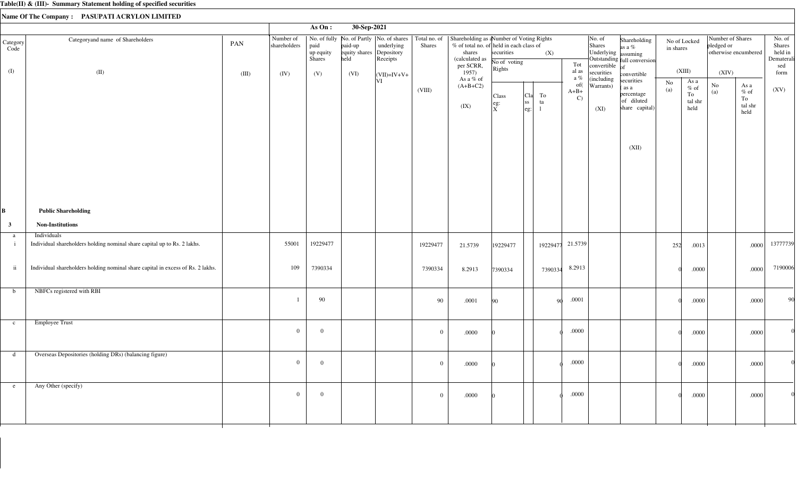|                         |                                                                                         |              |                                   | As On:                             | 30-Sep-2021                                         |                                                                                                              |                |                                                                                                                                         |                                                   |                                              |          |                               |                                                                                                          |                                                                           |                               |                                                  |                                         |                                                                       |                                                          |
|-------------------------|-----------------------------------------------------------------------------------------|--------------|-----------------------------------|------------------------------------|-----------------------------------------------------|--------------------------------------------------------------------------------------------------------------|----------------|-----------------------------------------------------------------------------------------------------------------------------------------|---------------------------------------------------|----------------------------------------------|----------|-------------------------------|----------------------------------------------------------------------------------------------------------|---------------------------------------------------------------------------|-------------------------------|--------------------------------------------------|-----------------------------------------|-----------------------------------------------------------------------|----------------------------------------------------------|
| Category<br>Code<br>(I) | Categoryand name of Shareholders<br>(II)                                                | PAN<br>(III) | Number of<br>shareholders<br>(IV) | paid<br>up equity<br>Shares<br>(V) | paid-up<br>equity shares Depository<br>held<br>(VI) | No. of fully   No. of Partly   No. of shares   Total no. of<br>underlying<br>Receipts<br>$\vert$ (VII)=IV+V+ | <b>Shares</b>  | Shareholding as aNumber of Voting Rights<br>$%$ of total no. of held in each class of<br>shares<br>(calculated as<br>per SCRR,<br>1957) | securities<br>No of voting<br>Rights              |                                              | (X)      | Tot<br>al as<br>a %           | $\vert$ No. of<br>Shares<br>Underlying assuming<br>convertible $\int_{\text{of}}^{\infty}$<br>securities | Shareholding<br>as a $\%$<br>Outstanding full conversion<br>convertible   | No of Locked<br>in shares     | (XIII)                                           | Number of Shares<br>pledged or<br>(XIV) | otherwise encumbered                                                  | No. of<br>Shares<br>held in<br>Dematerali<br>sed<br>form |
|                         |                                                                                         |              |                                   |                                    |                                                     | VI                                                                                                           | (VIII)         | As a % of<br>$(A+B+C2)$<br>(IX)                                                                                                         | Class<br>$\begin{vmatrix} eg: \\ X \end{vmatrix}$ | To<br>  <sub>C1a</sub>  <br>ss <br>ta<br>eg: |          | of(<br>$A+B+$<br>$\mathbf{C}$ | (including<br>Warrants)<br>(XI)                                                                          | securities<br>as a<br>percentage<br>of diluted<br>share capital)<br>(XII) | $\mathbf{N}\mathbf{o}$<br>(a) | As a<br>$\%$ of<br>${\rm To}$<br>tal shr<br>held | $\rm No$<br>(a)                         | As a<br>$\%$ of<br>To<br>$\ensuremath{\text{tal}}\xspace$ shr<br>held | (XV)                                                     |
| B                       | <b>Public Shareholding</b>                                                              |              |                                   |                                    |                                                     |                                                                                                              |                |                                                                                                                                         |                                                   |                                              |          |                               |                                                                                                          |                                                                           |                               |                                                  |                                         |                                                                       |                                                          |
| $\mathbf{3}$            | <b>Non-Institutions</b>                                                                 |              |                                   |                                    |                                                     |                                                                                                              |                |                                                                                                                                         |                                                   |                                              |          |                               |                                                                                                          |                                                                           |                               |                                                  |                                         |                                                                       |                                                          |
| a<br>$\mathbf{i}$       | Individuals<br>Individual shareholders holding nominal share capital up to Rs. 2 lakhs. |              | 55001                             | 19229477                           |                                                     |                                                                                                              | 19229477       | 21.5739                                                                                                                                 | 19229477                                          |                                              | 19229477 | 21.5739                       |                                                                                                          |                                                                           | 252                           | .0013                                            |                                         | .0000                                                                 | 13777739                                                 |
| $\mathbf{ii}$           | Individual shareholders holding nominal share capital in excess of Rs. 2 lakhs.         |              | 109                               | 7390334                            |                                                     |                                                                                                              | 7390334        | 8.2913                                                                                                                                  | 7390334                                           |                                              | 7390334  | 8.2913                        |                                                                                                          |                                                                           |                               | .0000                                            |                                         | .0000                                                                 | 7190006                                                  |
| $\mathbf b$             | NBFCs registered with RBI                                                               |              |                                   | 90                                 |                                                     |                                                                                                              | 90             | .0001                                                                                                                                   | 90                                                |                                              | -90      | .0001                         |                                                                                                          |                                                                           |                               | .0000                                            |                                         | .0000                                                                 | 90                                                       |
| $\mathbf{c}$            | <b>Employee Trust</b>                                                                   |              | $\overline{0}$                    | $\overline{0}$                     |                                                     |                                                                                                              | $\overline{0}$ | .0000                                                                                                                                   |                                                   |                                              |          | $.0000\,$                     |                                                                                                          |                                                                           |                               | .0000                                            |                                         | .0000                                                                 |                                                          |
| d                       | Overseas Depositories (holding DRs) (balancing figure)                                  |              | $\overline{0}$                    | $\mathbf{0}$                       |                                                     |                                                                                                              | $\overline{0}$ | $.0000$                                                                                                                                 |                                                   |                                              |          | .0000                         |                                                                                                          |                                                                           |                               | .0000                                            |                                         | .0000                                                                 |                                                          |
| e                       | Any Other (specify)                                                                     |              | $\overline{0}$                    | $\mathbf{0}$                       |                                                     |                                                                                                              | $\bf{0}$       | .0000                                                                                                                                   |                                                   |                                              |          | $.0000\,$                     |                                                                                                          |                                                                           |                               | .0000                                            |                                         | .0000                                                                 |                                                          |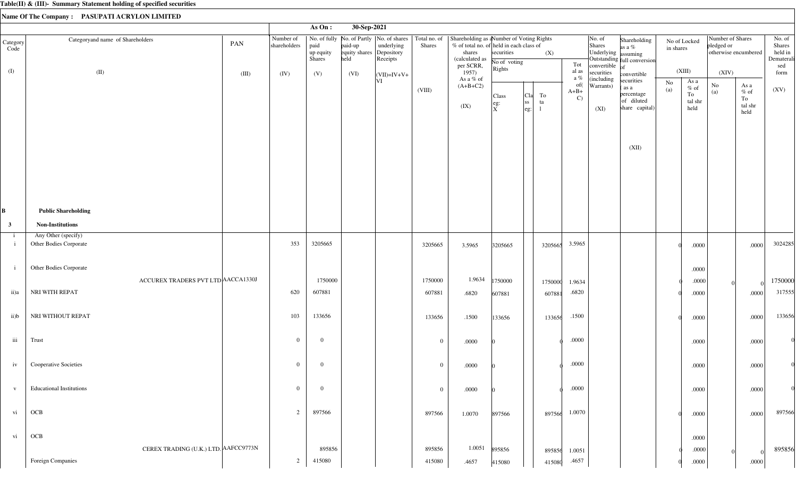|                  |                                               |       |                           | As On:                      | 30-Sep-2021                      |                                      |                |                                                                                                                                                                                             |                              |                                                                  |                               |                                                                        |                                                                   |           |                                                  |                                                        |                                                                       |                                                  |
|------------------|-----------------------------------------------|-------|---------------------------|-----------------------------|----------------------------------|--------------------------------------|----------------|---------------------------------------------------------------------------------------------------------------------------------------------------------------------------------------------|------------------------------|------------------------------------------------------------------|-------------------------------|------------------------------------------------------------------------|-------------------------------------------------------------------|-----------|--------------------------------------------------|--------------------------------------------------------|-----------------------------------------------------------------------|--------------------------------------------------|
| Category<br>Code | Categoryand name of Shareholders              | PAN   | Number of<br>shareholders | paid<br>up equity<br>Shares | paid-up<br>equity shares<br>held | underlying<br>Depository<br>Receipts | Shares         | No. of fully   No. of Partly   No. of shares   Total no. of   Shareholding as a Number of Voting Rights<br>% of total no. of held in each class of<br>shares<br>(calculated as<br>per SCRR, | securities<br>No of voting   | (X)                                                              | Tot                           | No. of<br>Shares<br>Underlying assuming<br>convertible $\overline{of}$ | Shareholding<br>as a %<br>Outstanding full conversion             | in shares | No of Locked                                     | Number of Shares<br>pledged or<br>otherwise encumbered |                                                                       | No. of<br>Shares<br>held in<br>Dematerali<br>sed |
| (I)              | (II)                                          | (III) | (IV)                      | (V)                         | (VI)                             | $ (VII)=IV+V+$                       |                | 1957)<br>As a % of                                                                                                                                                                          | Rights                       |                                                                  | al as<br>a $\%$               | securities<br>(including                                               | convertible                                                       |           | (XIII)                                           | (XIV)                                                  |                                                                       | form                                             |
|                  |                                               |       |                           |                             |                                  | VI                                   | (VIII)         | $(A+B+C2)$<br>(IX)                                                                                                                                                                          | Class<br>eg:<br>$\mathbf{x}$ | <sub>C1a</sub>  <br>To<br>ss <br>ta<br>$\left \text{eg:}\right $ | of(<br>$A+B+$<br>$\mathbf{C}$ | Warrants)<br>(XI)                                                      | securities<br>(as a<br>percentage<br>of diluted<br>share capital) | No<br>(a) | As a<br>$\%$ of<br>${\rm To}$<br>tal shr<br>held | No<br>(a)                                              | As a<br>$\%$ of<br>To<br>$\ensuremath{\text{tal}}\xspace$ shr<br>held | (XV)                                             |
|                  |                                               |       |                           |                             |                                  |                                      |                |                                                                                                                                                                                             |                              |                                                                  |                               |                                                                        | (XII)                                                             |           |                                                  |                                                        |                                                                       |                                                  |
|                  | <b>Public Shareholding</b>                    |       |                           |                             |                                  |                                      |                |                                                                                                                                                                                             |                              |                                                                  |                               |                                                                        |                                                                   |           |                                                  |                                                        |                                                                       |                                                  |
| $\mathbf{3}$     | <b>Non-Institutions</b>                       |       |                           |                             |                                  |                                      |                |                                                                                                                                                                                             |                              |                                                                  |                               |                                                                        |                                                                   |           |                                                  |                                                        |                                                                       |                                                  |
| $\mathbf{i}$     | Any Other (specify)<br>Other Bodies Corporate |       | 353                       | 3205665                     |                                  |                                      | 3205665        | 3.5965                                                                                                                                                                                      | 3205665                      | 3205665                                                          | 3.5965                        |                                                                        |                                                                   |           | .0000                                            |                                                        | .0000                                                                 | 3024285                                          |
| $\mathbf{i}$     | Other Bodies Corporate                        |       |                           |                             |                                  |                                      |                |                                                                                                                                                                                             |                              |                                                                  |                               |                                                                        |                                                                   |           | .0000                                            |                                                        |                                                                       |                                                  |
|                  | ACCUREX TRADERS PVT LTD ACCA1330J             |       |                           | 1750000                     |                                  |                                      | 1750000        | 1.9634                                                                                                                                                                                      | 1750000                      | 1750000                                                          | 1.9634                        |                                                                        |                                                                   |           | .0000                                            |                                                        |                                                                       | 1750000                                          |
| ii)a             | NRI WITH REPAT                                |       | 620                       | 607881                      |                                  |                                      | 607881         | .6820                                                                                                                                                                                       | 607881                       | 607881                                                           | .6820                         |                                                                        |                                                                   |           | .0000                                            |                                                        | .0000                                                                 | 317555                                           |
| ii)b             | NRI WITHOUT REPAT                             |       | 103                       | 133656                      |                                  |                                      | 133656         | .1500                                                                                                                                                                                       | 133656                       | 133656                                                           | .1500                         |                                                                        |                                                                   |           | .0000                                            |                                                        | .0000                                                                 | 133656                                           |
| iii              | Trust                                         |       | $\overline{0}$            | $\overline{0}$              |                                  |                                      | $\overline{0}$ | $.0000\,$                                                                                                                                                                                   |                              |                                                                  | $.0000\,$                     |                                                                        |                                                                   |           | .0000                                            |                                                        | .0000                                                                 |                                                  |
| iv               | Cooperative Societies                         |       | $\theta$                  | $\overline{0}$              |                                  |                                      | $\overline{0}$ | .0000                                                                                                                                                                                       |                              |                                                                  | .0000                         |                                                                        |                                                                   |           | $.0000\,$                                        |                                                        | .0000                                                                 |                                                  |
| V                | <b>Educational Institutions</b>               |       | $\mathbf{0}$              | $\overline{0}$              |                                  |                                      | $\overline{0}$ | .0000                                                                                                                                                                                       |                              |                                                                  | $.0000\,$                     |                                                                        |                                                                   |           | $.0000$                                          |                                                        | .0000                                                                 |                                                  |
| vi               | OCB                                           |       | $\overline{c}$            | 897566                      |                                  |                                      | 897566         | 1.0070                                                                                                                                                                                      | 897566                       | 897566                                                           | 1.0070                        |                                                                        |                                                                   |           | .0000                                            |                                                        | .0000                                                                 | 897566                                           |
| vi               | OCB                                           |       |                           |                             |                                  |                                      |                |                                                                                                                                                                                             |                              |                                                                  |                               |                                                                        |                                                                   |           | .0000                                            |                                                        |                                                                       |                                                  |
|                  | CEREX TRADING (U.K.) LTD. AAFCC9773N          |       |                           | 895856                      |                                  |                                      | 895856         | 1.0051                                                                                                                                                                                      | 895856                       | 895856                                                           | 1.0051                        |                                                                        |                                                                   |           | .0000                                            |                                                        |                                                                       | 895856                                           |
|                  | Foreign Companies                             |       | $\overline{2}$            | 415080                      |                                  |                                      | 415080         | .4657                                                                                                                                                                                       | 415080                       | 415080                                                           | .4657                         |                                                                        |                                                                   |           | .0000.                                           |                                                        | $.0000\,$                                                             |                                                  |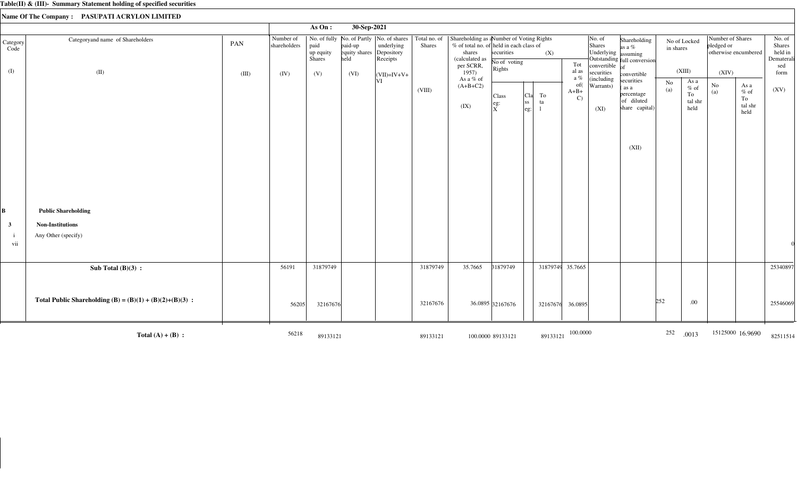|                  |                                                            |       |                           | As On:                      | 30-Sep-2021                                          |                                                         |                               |                                                                                                                              |                                             |                                                  |                  |                                                                   |                                                                                |           |                                         |                                                        |                                         |                                                  |
|------------------|------------------------------------------------------------|-------|---------------------------|-----------------------------|------------------------------------------------------|---------------------------------------------------------|-------------------------------|------------------------------------------------------------------------------------------------------------------------------|---------------------------------------------|--------------------------------------------------|------------------|-------------------------------------------------------------------|--------------------------------------------------------------------------------|-----------|-----------------------------------------|--------------------------------------------------------|-----------------------------------------|--------------------------------------------------|
| Category<br>Code | Categoryand name of Shareholders                           | PAN   | Number of<br>shareholders | paid<br>up equity<br>Shares | paid-up<br>equity shares Depository<br>held Receipts | No. of fully No. of Partly  No. of shares<br>underlying | Total no. of<br><b>Shares</b> | Shareholding as aNumber of Voting Rights<br>% of total no. of held in each class of<br>shares<br>(calculated as<br>per SCRR, | securities<br>No of voting                  |                                                  | (X)              | No. of<br>Shares<br>Tot<br>convertible                            | Shareholding<br>as a $%$<br>Underlying assuming<br>Outstanding full conversion | in shares | No of Locked                            | Number of Shares<br>pledged or<br>otherwise encumbered |                                         | No. of<br>Shares<br>held in<br>Dematerali<br>sed |
| (I)              | (II)                                                       | (III) | (IV)                      | (V)                         | (VI)                                                 | $\vert$ (VII)=IV+V+                                     |                               | 1957)                                                                                                                        | Rights                                      |                                                  |                  | al as<br>securities                                               | convertible                                                                    |           | (XIII)                                  | (XIV)                                                  |                                         | form                                             |
|                  |                                                            |       |                           |                             |                                                      | VI                                                      | (VIII)                        | As a % of<br>$(A+B+C2)$<br>(IX)                                                                                              | Class<br>eg:<br>$\mathbf{\overset{eg:}{X}}$ | Cla<br>To<br> ss <br>ta<br>$ \mathrm{eg}\colon $ | $A+B+$           | a $\%$<br>(including<br>of(<br>Warrants)<br>$\mathcal{C}$<br>(XI) | securities<br>(as a<br>percentage<br>of diluted<br>share capital)              | No<br>(a) | As a<br>$%$ of<br>To<br>tal shr<br>held | No<br>(a)                                              | As a<br>$%$ of<br>To<br>tal shr<br>held | (XV)                                             |
|                  |                                                            |       |                           |                             |                                                      |                                                         |                               |                                                                                                                              |                                             |                                                  |                  |                                                                   | (XII)                                                                          |           |                                         |                                                        |                                         |                                                  |
| B                | <b>Public Shareholding</b>                                 |       |                           |                             |                                                      |                                                         |                               |                                                                                                                              |                                             |                                                  |                  |                                                                   |                                                                                |           |                                         |                                                        |                                         |                                                  |
| $\mathbf{3}$     | <b>Non-Institutions</b>                                    |       |                           |                             |                                                      |                                                         |                               |                                                                                                                              |                                             |                                                  |                  |                                                                   |                                                                                |           |                                         |                                                        |                                         |                                                  |
|                  | Any Other (specify)                                        |       |                           |                             |                                                      |                                                         |                               |                                                                                                                              |                                             |                                                  |                  |                                                                   |                                                                                |           |                                         |                                                        |                                         |                                                  |
| vii              |                                                            |       |                           |                             |                                                      |                                                         |                               |                                                                                                                              |                                             |                                                  |                  |                                                                   |                                                                                |           |                                         |                                                        |                                         |                                                  |
|                  | Sub Total $(B)(3)$ :                                       |       | 56191                     | 31879749                    |                                                      |                                                         | 31879749                      | 35.7665                                                                                                                      | 31879749                                    |                                                  | 31879749 35.7665 |                                                                   |                                                                                |           |                                         |                                                        |                                         | 25340897                                         |
|                  | Total Public Shareholding (B) = $(B)(1) + (B)(2)+(B)(3)$ : |       | 56205                     | 32167676                    |                                                      |                                                         | 32167676                      |                                                                                                                              | 36.0895 32167676                            |                                                  | 32167676         | 36.0895                                                           |                                                                                | 252       | .00                                     |                                                        |                                         | 25546069                                         |
|                  | Total $(A) + (B)$ :                                        |       | 56218                     | 89133121                    |                                                      |                                                         | 89133121                      |                                                                                                                              | 100.0000 89133121                           |                                                  | 89133121         | 100.0000                                                          |                                                                                | 252       | .0013                                   |                                                        | 15125000 16.9690                        | 82511514                                         |